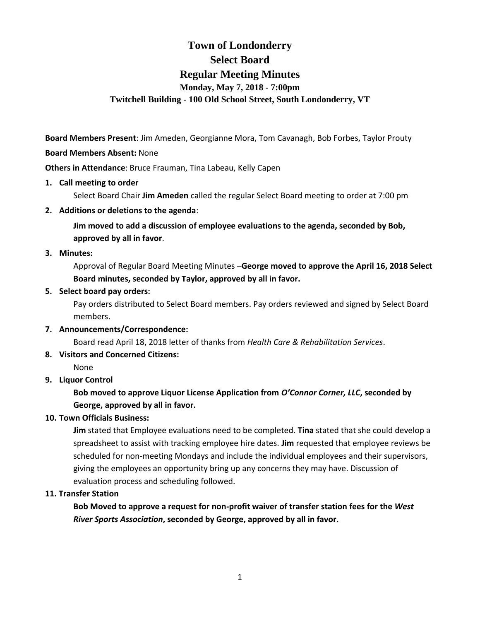# **Town of Londonderry Select Board Regular Meeting Minutes Monday, May 7, 2018 - 7:00pm Twitchell Building - 100 Old School Street, South Londonderry, VT**

**Board Members Present**: Jim Ameden, Georgianne Mora, Tom Cavanagh, Bob Forbes, Taylor Prouty

### **Board Members Absent:** None

**Others in Attendance**: Bruce Frauman, Tina Labeau, Kelly Capen

**1. Call meeting to order**

Select Board Chair **Jim Ameden** called the regular Select Board meeting to order at 7:00 pm

### **2. Additions or deletions to the agenda**:

**Jim moved to add a discussion of employee evaluations to the agenda, seconded by Bob, approved by all in favor**.

### **3. Minutes:**

Approval of Regular Board Meeting Minutes –**George moved to approve the April 16, 2018 Select Board minutes, seconded by Taylor, approved by all in favor.** 

### **5. Select board pay orders:**

Pay orders distributed to Select Board members. Pay orders reviewed and signed by Select Board members.

**7. Announcements/Correspondence:** 

Board read April 18, 2018 letter of thanks from *Health Care & Rehabilitation Services*.

**8. Visitors and Concerned Citizens:**

None

# **9. Liquor Control**

# **Bob moved to approve Liquor License Application from** *O'Connor Corner, LLC***, seconded by George, approved by all in favor.**

# **10. Town Officials Business:**

**Jim** stated that Employee evaluations need to be completed. **Tina** stated that she could develop a spreadsheet to assist with tracking employee hire dates. **Jim** requested that employee reviews be scheduled for non-meeting Mondays and include the individual employees and their supervisors, giving the employees an opportunity bring up any concerns they may have. Discussion of evaluation process and scheduling followed.

#### **11. Transfer Station**

**Bob Moved to approve a request for non-profit waiver of transfer station fees for the** *West River Sports Association***, seconded by George, approved by all in favor.**